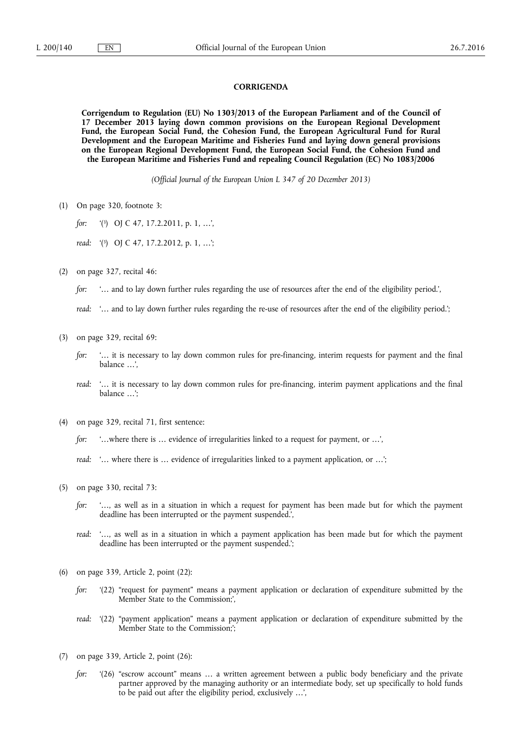## **CORRIGENDA**

**Corrigendum to Regulation (EU) No 1303/2013 of the European Parliament and of the Council of 17 December 2013 laying down common provisions on the European Regional Development Fund, the European Social Fund, the Cohesion Fund, the European Agricultural Fund for Rural Development and the European Maritime and Fisheries Fund and laying down general provisions on the European Regional Development Fund, the European Social Fund, the Cohesion Fund and the European Maritime and Fisheries Fund and repealing Council Regulation (EC) No 1083/2006** 

*(Official Journal of the European Union L 347 of 20 December 2013)* 

(1) On page 320, footnote 3:

*for:* '(3) OJ C 47, 17.2.2011, p. 1, …',

*read:* '(3) OJ C 47, 17.2.2012, p. 1, …';

(2) on page 327, recital 46:

*for:* '… and to lay down further rules regarding the use of resources after the end of the eligibility period.',

*read:* '… and to lay down further rules regarding the re-use of resources after the end of the eligibility period.';

- (3) on page 329, recital 69:
	- *for:* '... it is necessary to lay down common rules for pre-financing, interim requests for payment and the final balance …',
	- *read:* '… it is necessary to lay down common rules for pre-financing, interim payment applications and the final balance …';
- (4) on page 329, recital 71, first sentence:

*for:* '…where there is … evidence of irregularities linked to a request for payment, or …',

*read:* '… where there is … evidence of irregularities linked to a payment application, or …';

- (5) on page 330, recital 73:
	- *for:* '…, as well as in a situation in which a request for payment has been made but for which the payment deadline has been interrupted or the payment suspended.',
	- *read:* '…, as well as in a situation in which a payment application has been made but for which the payment deadline has been interrupted or the payment suspended.';
- (6) on page 339, Article 2, point (22):
	- *for:* '(22) "request for payment" means a payment application or declaration of expenditure submitted by the Member State to the Commission;',
	- *read:* '(22) "payment application" means a payment application or declaration of expenditure submitted by the Member State to the Commission;';
- (7) on page 339, Article 2, point (26):
	- *for:* '(26) "escrow account" means ... a written agreement between a public body beneficiary and the private partner approved by the managing authority or an intermediate body, set up specifically to hold funds to be paid out after the eligibility period, exclusively …',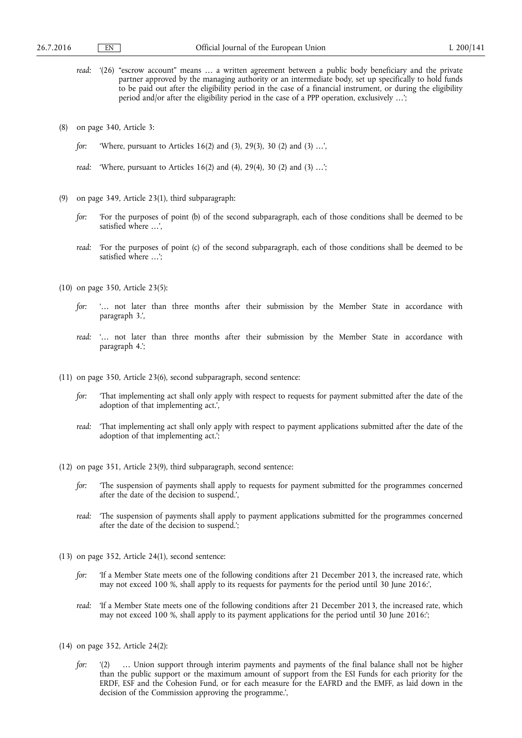- *read:* '(26) "escrow account" means … a written agreement between a public body beneficiary and the private partner approved by the managing authority or an intermediate body, set up specifically to hold funds to be paid out after the eligibility period in the case of a financial instrument, or during the eligibility period and/or after the eligibility period in the case of a PPP operation, exclusively …';
- (8) on page 340, Article 3:
	- *for:* 'Where, pursuant to Articles 16(2) and (3), 29(3), 30 (2) and (3) …',
	- *read:* 'Where, pursuant to Articles 16(2) and (4), 29(4), 30 (2) and (3) …';
- (9) on page 349, Article 23(1), third subparagraph:
	- *for:* 'For the purposes of point (b) of the second subparagraph, each of those conditions shall be deemed to be satisfied where …',
	- *read:* 'For the purposes of point (c) of the second subparagraph, each of those conditions shall be deemed to be satisfied where …';
- (10) on page 350, Article 23(5):
	- *for:* '… not later than three months after their submission by the Member State in accordance with paragraph 3.',
	- *read:* '… not later than three months after their submission by the Member State in accordance with paragraph 4.';
- (11) on page 350, Article 23(6), second subparagraph, second sentence:
	- *for:* That implementing act shall only apply with respect to requests for payment submitted after the date of the adoption of that implementing act.',
	- *read:* 'That implementing act shall only apply with respect to payment applications submitted after the date of the adoption of that implementing act.';
- (12) on page 351, Article 23(9), third subparagraph, second sentence:
	- *for:* The suspension of payments shall apply to requests for payment submitted for the programmes concerned after the date of the decision to suspend.',
	- *read:* 'The suspension of payments shall apply to payment applications submitted for the programmes concerned after the date of the decision to suspend.';
- (13) on page 352, Article 24(1), second sentence:
	- *for:* If a Member State meets one of the following conditions after 21 December 2013, the increased rate, which may not exceed 100 %, shall apply to its requests for payments for the period until 30 June 2016:',
	- *read:* 'If a Member State meets one of the following conditions after 21 December 2013, the increased rate, which may not exceed 100 %, shall apply to its payment applications for the period until 30 June 2016:';
- (14) on page 352, Article 24(2):
	- *for:* '(2) ... Union support through interim payments and payments of the final balance shall not be higher than the public support or the maximum amount of support from the ESI Funds for each priority for the ERDF, ESF and the Cohesion Fund, or for each measure for the EAFRD and the EMFF, as laid down in the decision of the Commission approving the programme.',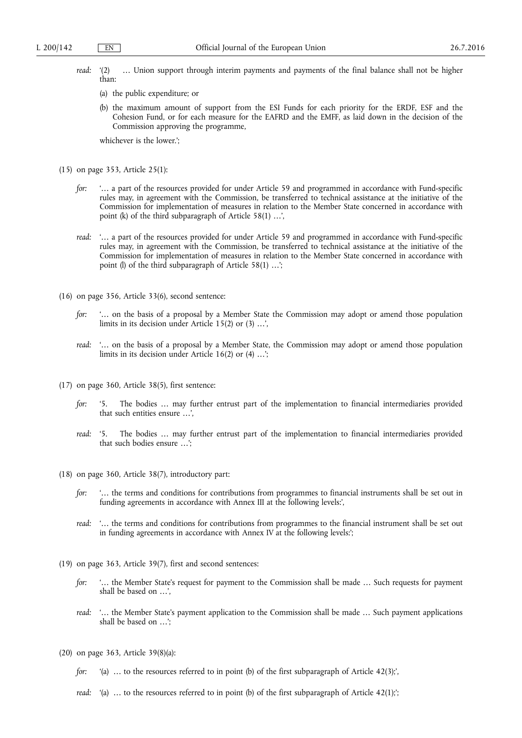- *read:* '(2) ... Union support through interim payments and payments of the final balance shall not be higher than:
	- (a) the public expenditure; or
	- (b) the maximum amount of support from the ESI Funds for each priority for the ERDF, ESF and the Cohesion Fund, or for each measure for the EAFRD and the EMFF, as laid down in the decision of the Commission approving the programme,

whichever is the lower.';

- (15) on page 353, Article 25(1):
	- *for:* '… a part of the resources provided for under Article 59 and programmed in accordance with Fund-specific rules may, in agreement with the Commission, be transferred to technical assistance at the initiative of the Commission for implementation of measures in relation to the Member State concerned in accordance with point (k) of the third subparagraph of Article 58(1) …',
	- *read:* '… a part of the resources provided for under Article 59 and programmed in accordance with Fund-specific rules may, in agreement with the Commission, be transferred to technical assistance at the initiative of the Commission for implementation of measures in relation to the Member State concerned in accordance with point (l) of the third subparagraph of Article 58(1) …';
- (16) on page 356, Article 33(6), second sentence:
	- *for:* '… on the basis of a proposal by a Member State the Commission may adopt or amend those population limits in its decision under Article 15(2) or (3) …',
	- *read:* '… on the basis of a proposal by a Member State, the Commission may adopt or amend those population limits in its decision under Article 16(2) or (4) …';
- (17) on page 360, Article 38(5), first sentence:
	- *for:* '5. The bodies … may further entrust part of the implementation to financial intermediaries provided that such entities ensure …',
	- *read:* '5. The bodies … may further entrust part of the implementation to financial intermediaries provided that such bodies ensure …';
- (18) on page 360, Article 38(7), introductory part:
	- *for:* '... the terms and conditions for contributions from programmes to financial instruments shall be set out in funding agreements in accordance with Annex III at the following levels:',
	- *read:* '… the terms and conditions for contributions from programmes to the financial instrument shall be set out in funding agreements in accordance with Annex IV at the following levels:';
- (19) on page 363, Article 39(7), first and second sentences:
	- *for:* '… the Member State's request for payment to the Commission shall be made … Such requests for payment shall be based on …',
	- *read:* '… the Member State's payment application to the Commission shall be made … Such payment applications shall be based on …';
- (20) on page 363, Article 39(8)(a):
	- *for:* '(a) ... to the resources referred to in point (b) of the first subparagraph of Article 42(3);',
	- *read:* '(a) ... to the resources referred to in point (b) of the first subparagraph of Article 42(1);';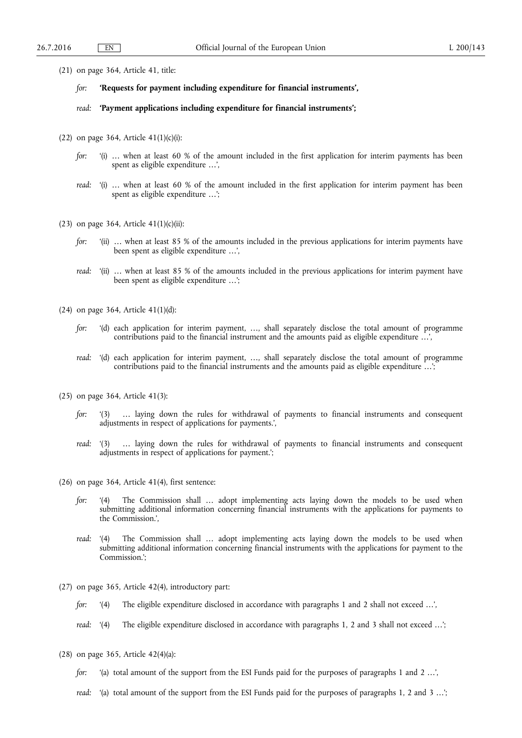- (21) on page 364, Article 41, title:
	- *for:* **'Requests for payment including expenditure for financial instruments',**
	- *read:* **'Payment applications including expenditure for financial instruments';**
- (22) on page 364, Article  $41(1)(c)(i)$ :
	- *for:* '(i) ... when at least 60 % of the amount included in the first application for interim payments has been spent as eligible expenditure …',
	- *read:* '(i) … when at least 60 % of the amount included in the first application for interim payment has been spent as eligible expenditure …';
- (23) on page 364, Article  $41(1)(c)(ii)$ :
	- *for:* '(ii) … when at least 85 % of the amounts included in the previous applications for interim payments have been spent as eligible expenditure …',
	- *read:* '(ii) ... when at least 85 % of the amounts included in the previous applications for interim payment have been spent as eligible expenditure …';
- (24) on page 364, Article 41(1)(d):
	- *for:* '(d) each application for interim payment, …, shall separately disclose the total amount of programme contributions paid to the financial instrument and the amounts paid as eligible expenditure …',
	- *read:* '(d) each application for interim payment, …, shall separately disclose the total amount of programme contributions paid to the financial instruments and the amounts paid as eligible expenditure …';
- (25) on page 364, Article 41(3):
	- *for:* '(3) … laying down the rules for withdrawal of payments to financial instruments and consequent adjustments in respect of applications for payments.',
	- *read:* '(3) … laying down the rules for withdrawal of payments to financial instruments and consequent adjustments in respect of applications for payment.';
- (26) on page 364, Article 41(4), first sentence:
	- *for:* '(4) The Commission shall … adopt implementing acts laying down the models to be used when submitting additional information concerning financial instruments with the applications for payments to the Commission.',
	- *read:* '(4) The Commission shall … adopt implementing acts laying down the models to be used when submitting additional information concerning financial instruments with the applications for payment to the Commission.';
- (27) on page 365, Article 42(4), introductory part:
	- *for:* '(4) The eligible expenditure disclosed in accordance with paragraphs 1 and 2 shall not exceed ...',
	- *read:* '(4) The eligible expenditure disclosed in accordance with paragraphs 1, 2 and 3 shall not exceed …';
- (28) on page 365, Article 42(4)(a):
	- *for:* '(a) total amount of the support from the ESI Funds paid for the purposes of paragraphs 1 and 2 ...',
	- *read:* '(a) total amount of the support from the ESI Funds paid for the purposes of paragraphs 1, 2 and 3 …';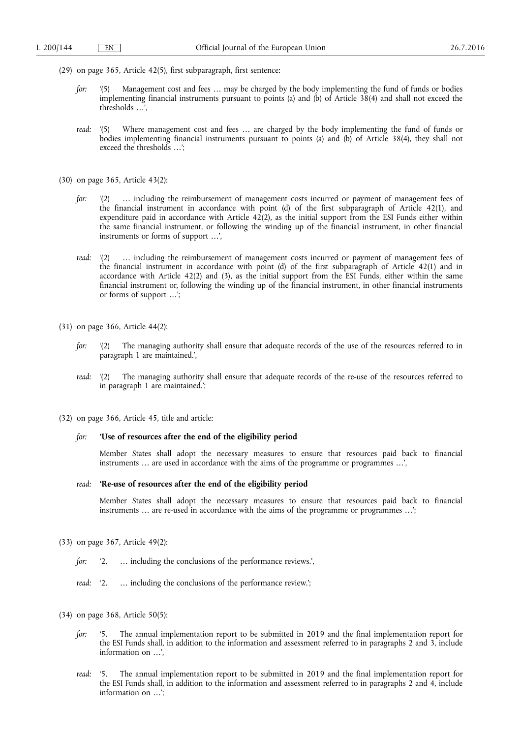- (29) on page 365, Article 42(5), first subparagraph, first sentence:
	- *for:* '(5) Management cost and fees … may be charged by the body implementing the fund of funds or bodies implementing financial instruments pursuant to points (a) and (b) of Article 38(4) and shall not exceed the thresholds …',
	- *read:* '(5) Where management cost and fees ... are charged by the body implementing the fund of funds or bodies implementing financial instruments pursuant to points (a) and (b) of Article 38(4), they shall not exceed the thresholds …';
- (30) on page 365, Article 43(2):
	- *for:* '(2) ... including the reimbursement of management costs incurred or payment of management fees of the financial instrument in accordance with point (d) of the first subparagraph of Article 42(1), and expenditure paid in accordance with Article  $42(2)$ , as the initial support from the ESI Funds either within the same financial instrument, or following the winding up of the financial instrument, in other financial instruments or forms of support …',
	- *read:* '(2) ... including the reimbursement of management costs incurred or payment of management fees of the financial instrument in accordance with point (d) of the first subparagraph of Article 42(1) and in accordance with Article 42(2) and (3), as the initial support from the ESI Funds, either within the same financial instrument or, following the winding up of the financial instrument, in other financial instruments or forms of support …';
- (31) on page 366, Article 44(2):
	- *for:* '(2) The managing authority shall ensure that adequate records of the use of the resources referred to in paragraph 1 are maintained.',
	- *read:* '(2) The managing authority shall ensure that adequate records of the re-use of the resources referred to in paragraph 1 are maintained.';
- (32) on page 366, Article 45, title and article:

## *for:* **'Use of resources after the end of the eligibility period**

Member States shall adopt the necessary measures to ensure that resources paid back to financial instruments … are used in accordance with the aims of the programme or programmes …',

## *read:* **'Re-use of resources after the end of the eligibility period**

Member States shall adopt the necessary measures to ensure that resources paid back to financial instruments ... are re-used in accordance with the aims of the programme or programmes ...';

- (33) on page 367, Article 49(2):
	- for: '2. ... including the conclusions of the performance reviews.',
	- *read:* '2. ... including the conclusions of the performance review.':
- (34) on page 368, Article 50(5):
	- *for:* '5. The annual implementation report to be submitted in 2019 and the final implementation report for the ESI Funds shall, in addition to the information and assessment referred to in paragraphs 2 and 3, include information on …',
	- *read:* '5. The annual implementation report to be submitted in 2019 and the final implementation report for the ESI Funds shall, in addition to the information and assessment referred to in paragraphs 2 and 4, include information on …';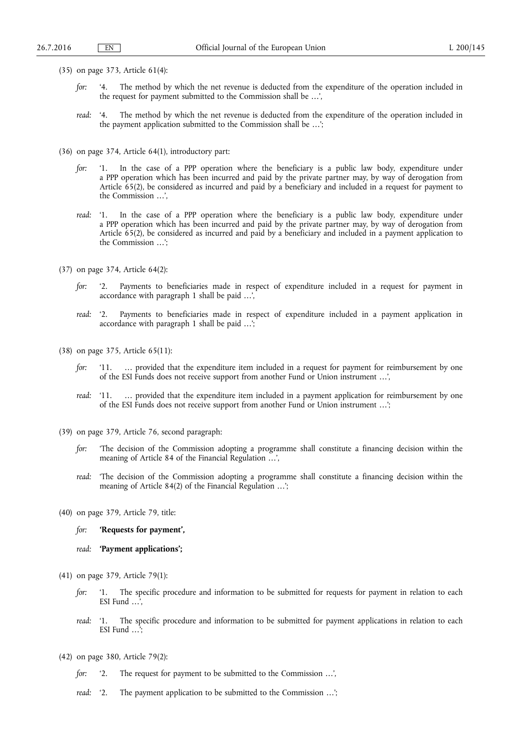- (35) on page 373, Article 61(4):
	- *for:* '4. The method by which the net revenue is deducted from the expenditure of the operation included in the request for payment submitted to the Commission shall be …',
	- *read:* '4. The method by which the net revenue is deducted from the expenditure of the operation included in the payment application submitted to the Commission shall be …';
- (36) on page 374, Article 64(1), introductory part:
	- *for:* '1. In the case of a PPP operation where the beneficiary is a public law body, expenditure under a PPP operation which has been incurred and paid by the private partner may, by way of derogation from Article 65(2), be considered as incurred and paid by a beneficiary and included in a request for payment to the Commission …',
	- *read:* '1. In the case of a PPP operation where the beneficiary is a public law body, expenditure under a PPP operation which has been incurred and paid by the private partner may, by way of derogation from Article 65(2), be considered as incurred and paid by a beneficiary and included in a payment application to the Commission …';
- (37) on page 374, Article 64(2):
	- *for:* '2. Payments to beneficiaries made in respect of expenditure included in a request for payment in accordance with paragraph 1 shall be paid …',
	- *read:* '2. Payments to beneficiaries made in respect of expenditure included in a payment application in accordance with paragraph 1 shall be paid …';
- (38) on page 375, Article 65(11):
	- *for:* '11. ... provided that the expenditure item included in a request for payment for reimbursement by one of the ESI Funds does not receive support from another Fund or Union instrument …',
	- *read:* '11. … provided that the expenditure item included in a payment application for reimbursement by one of the ESI Funds does not receive support from another Fund or Union instrument …';
- (39) on page 379, Article 76, second paragraph:
	- *for:* 'The decision of the Commission adopting a programme shall constitute a financing decision within the meaning of Article 84 of the Financial Regulation …',
	- *read:* 'The decision of the Commission adopting a programme shall constitute a financing decision within the meaning of Article 84(2) of the Financial Regulation …';
- (40) on page 379, Article 79, title:
	- *for:* **'Requests for payment',**
	- *read:* **'Payment applications';**
- (41) on page 379, Article 79(1):
	- *for:* '1. The specific procedure and information to be submitted for requests for payment in relation to each ESI Fund …',
	- *read:* '1. The specific procedure and information to be submitted for payment applications in relation to each ESI Fund …';
- (42) on page 380, Article 79(2):
	- *for:* '2. The request for payment to be submitted to the Commission …',
	- *read:* '2. The payment application to be submitted to the Commission …';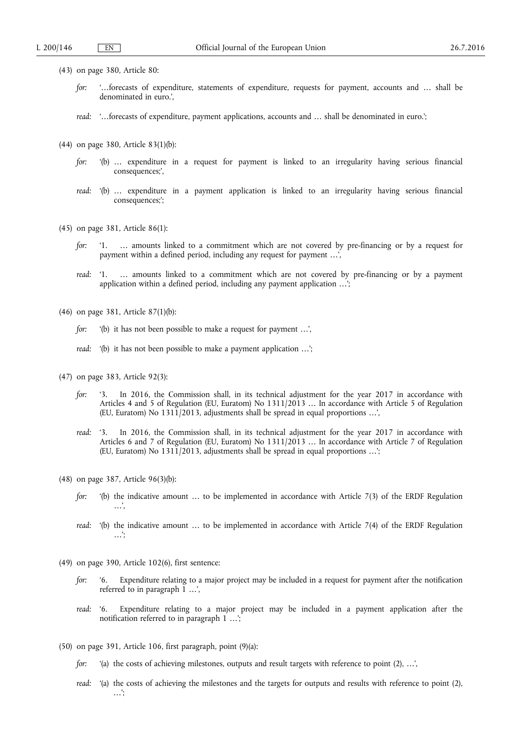- (43) on page 380, Article 80:
	- *for:* '…forecasts of expenditure, statements of expenditure, requests for payment, accounts and … shall be denominated in euro.',
	- *read:* '…forecasts of expenditure, payment applications, accounts and … shall be denominated in euro.';
- (44) on page 380, Article 83(1)(b):
	- *for:* '(b) … expenditure in a request for payment is linked to an irregularity having serious financial consequences;',
	- *read:* '(b) … expenditure in a payment application is linked to an irregularity having serious financial consequences;';
- (45) on page 381, Article 86(1):
	- *for:* '1. … amounts linked to a commitment which are not covered by pre-financing or by a request for payment within a defined period, including any request for payment ...',
	- *read:* '1. … amounts linked to a commitment which are not covered by pre-financing or by a payment application within a defined period, including any payment application …';
- (46) on page 381, Article 87(1)(b):
	- *for:* '(b) it has not been possible to make a request for payment …',
	- *read:* '(b) it has not been possible to make a payment application ...';
- (47) on page 383, Article 92(3):
	- *for:* '3. In 2016, the Commission shall, in its technical adjustment for the year 2017 in accordance with Articles 4 and 5 of Regulation (EU, Euratom) No 1311/2013 … In accordance with Article 5 of Regulation (EU, Euratom) No 1311/2013, adjustments shall be spread in equal proportions …',
	- *read:* '3. In 2016, the Commission shall, in its technical adjustment for the year 2017 in accordance with Articles 6 and 7 of Regulation (EU, Euratom) No 1311/2013 … In accordance with Article 7 of Regulation (EU, Euratom) No 1311/2013, adjustments shall be spread in equal proportions …';
- (48) on page 387, Article 96(3)(b):
	- *for:* '(b) the indicative amount ... to be implemented in accordance with Article 7(3) of the ERDF Regulation …',
	- *read:* '(b) the indicative amount ... to be implemented in accordance with Article 7(4) of the ERDF Regulation …';
- (49) on page 390, Article 102(6), first sentence:
	- *for:* '6. Expenditure relating to a major project may be included in a request for payment after the notification referred to in paragraph  $1 \ldots$ ,
	- *read:* '6. Expenditure relating to a major project may be included in a payment application after the notification referred to in paragraph 1 ...'
- (50) on page 391, Article 106, first paragraph, point (9)(a):
	- *for:* '(a) the costs of achieving milestones, outputs and result targets with reference to point (2), ...',
	- *read:* '(a) the costs of achieving the milestones and the targets for outputs and results with reference to point (2), …';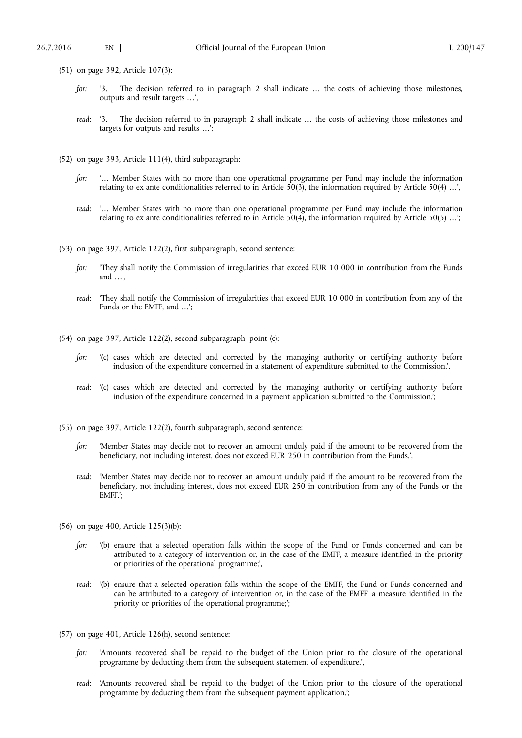- (51) on page 392, Article 107(3):
	- *for:* '3. The decision referred to in paragraph 2 shall indicate ... the costs of achieving those milestones, outputs and result targets …',
	- *read:* '3. The decision referred to in paragraph 2 shall indicate … the costs of achieving those milestones and targets for outputs and results …';
- (52) on page 393, Article 111(4), third subparagraph:
	- *for:* '… Member States with no more than one operational programme per Fund may include the information relating to ex ante conditionalities referred to in Article  $\overline{50(3)}$ , the information required by Article  $\overline{50(4)}$  ...',
	- *read:* '… Member States with no more than one operational programme per Fund may include the information relating to ex ante conditionalities referred to in Article 50(4), the information required by Article 50(5) …';
- (53) on page 397, Article 122(2), first subparagraph, second sentence:
	- *for:* 'They shall notify the Commission of irregularities that exceed EUR 10 000 in contribution from the Funds and …',
	- *read:* 'They shall notify the Commission of irregularities that exceed EUR 10 000 in contribution from any of the Funds or the EMFF, and …';
- (54) on page 397, Article 122(2), second subparagraph, point (c):
	- *for:* '(c) cases which are detected and corrected by the managing authority or certifying authority before inclusion of the expenditure concerned in a statement of expenditure submitted to the Commission.',
	- *read:* '(c) cases which are detected and corrected by the managing authority or certifying authority before inclusion of the expenditure concerned in a payment application submitted to the Commission.';
- (55) on page 397, Article 122(2), fourth subparagraph, second sentence:
	- *for:* 'Member States may decide not to recover an amount unduly paid if the amount to be recovered from the beneficiary, not including interest, does not exceed EUR 250 in contribution from the Funds.',
	- *read:* 'Member States may decide not to recover an amount unduly paid if the amount to be recovered from the beneficiary, not including interest, does not exceed EUR 250 in contribution from any of the Funds or the EMFF.';
- (56) on page 400, Article 125(3)(b):
	- *for:* '(b) ensure that a selected operation falls within the scope of the Fund or Funds concerned and can be attributed to a category of intervention or, in the case of the EMFF, a measure identified in the priority or priorities of the operational programme;',
	- *read:* '(b) ensure that a selected operation falls within the scope of the EMFF, the Fund or Funds concerned and can be attributed to a category of intervention or, in the case of the EMFF, a measure identified in the priority or priorities of the operational programme;';
- (57) on page 401, Article 126(h), second sentence:
	- *for:* 'Amounts recovered shall be repaid to the budget of the Union prior to the closure of the operational programme by deducting them from the subsequent statement of expenditure.',
	- *read:* 'Amounts recovered shall be repaid to the budget of the Union prior to the closure of the operational programme by deducting them from the subsequent payment application.';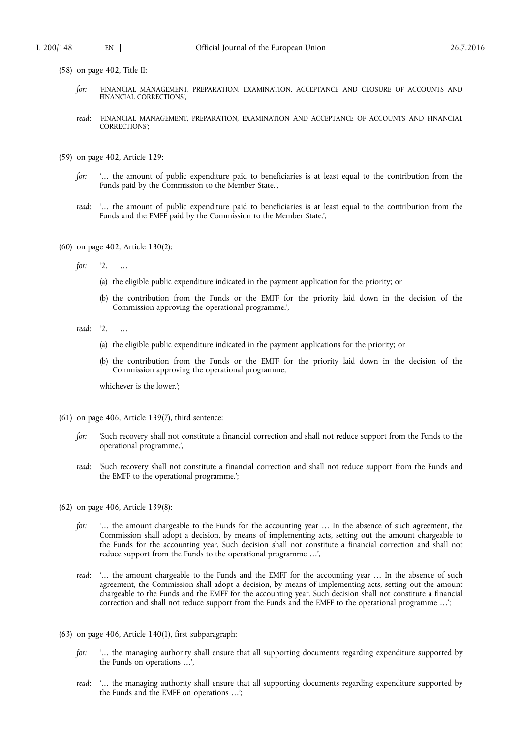- (58) on page 402, Title II:
	- *for:* 'FINANCIAL MANAGEMENT, PREPARATION, EXAMINATION, ACCEPTANCE AND CLOSURE OF ACCOUNTS AND FINANCIAL CORRECTIONS',
	- *read:* 'FINANCIAL MANAGEMENT, PREPARATION, EXAMINATION AND ACCEPTANCE OF ACCOUNTS AND FINANCIAL CORRECTIONS';
- (59) on page 402, Article 129:
	- *for:* '… the amount of public expenditure paid to beneficiaries is at least equal to the contribution from the Funds paid by the Commission to the Member State.',
	- *read:* '… the amount of public expenditure paid to beneficiaries is at least equal to the contribution from the Funds and the EMFF paid by the Commission to the Member State.';
- (60) on page 402, Article 130(2):
	- *for:* '2. …
		- (a) the eligible public expenditure indicated in the payment application for the priority; or
		- (b) the contribution from the Funds or the EMFF for the priority laid down in the decision of the Commission approving the operational programme.',
	- *read:* '2. …
		- (a) the eligible public expenditure indicated in the payment applications for the priority; or
		- (b) the contribution from the Funds or the EMFF for the priority laid down in the decision of the Commission approving the operational programme,

whichever is the lower.';

- (61) on page 406, Article 139(7), third sentence:
	- *for:* 'Such recovery shall not constitute a financial correction and shall not reduce support from the Funds to the operational programme.',
	- *read:* 'Such recovery shall not constitute a financial correction and shall not reduce support from the Funds and the EMFF to the operational programme.';
- (62) on page 406, Article 139(8):
	- *for:* '... the amount chargeable to the Funds for the accounting year ... In the absence of such agreement, the Commission shall adopt a decision, by means of implementing acts, setting out the amount chargeable to the Funds for the accounting year. Such decision shall not constitute a financial correction and shall not reduce support from the Funds to the operational programme …',
	- *read: '...* the amount chargeable to the Funds and the EMFF for the accounting year ... In the absence of such agreement, the Commission shall adopt a decision, by means of implementing acts, setting out the amount chargeable to the Funds and the EMFF for the accounting year. Such decision shall not constitute a financial correction and shall not reduce support from the Funds and the EMFF to the operational programme …';
- (63) on page 406, Article 140(1), first subparagraph:
	- *for:* '… the managing authority shall ensure that all supporting documents regarding expenditure supported by the Funds on operations …',
	- *read:* '… the managing authority shall ensure that all supporting documents regarding expenditure supported by the Funds and the EMFF on operations …';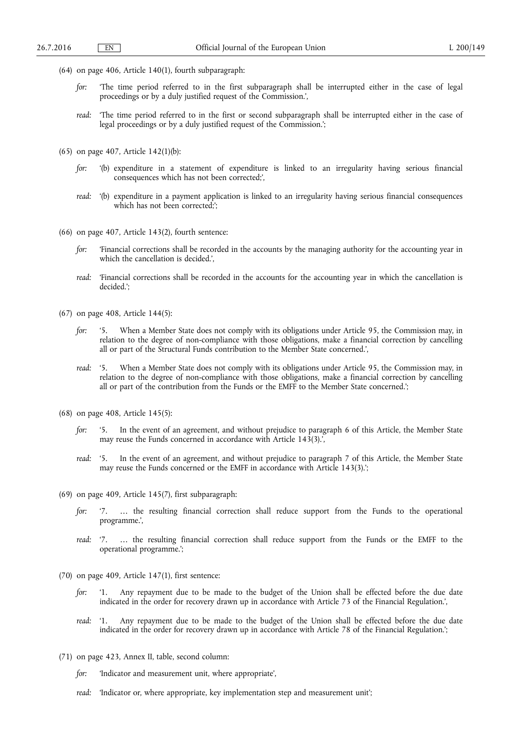- (64) on page 406, Article 140(1), fourth subparagraph:
	- *for:* 'The time period referred to in the first subparagraph shall be interrupted either in the case of legal proceedings or by a duly justified request of the Commission.',
	- *read:* 'The time period referred to in the first or second subparagraph shall be interrupted either in the case of legal proceedings or by a duly justified request of the Commission.';
- (65) on page 407, Article 142(1)(b):
	- *for:* '(b) expenditure in a statement of expenditure is linked to an irregularity having serious financial consequences which has not been corrected;',
	- *read:* '(b) expenditure in a payment application is linked to an irregularity having serious financial consequences which has not been corrected;';
- (66) on page 407, Article 143(2), fourth sentence:
	- *for:* 'Financial corrections shall be recorded in the accounts by the managing authority for the accounting year in which the cancellation is decided.',
	- *read:* 'Financial corrections shall be recorded in the accounts for the accounting year in which the cancellation is decided.';
- (67) on page 408, Article 144(5):
	- *for:* '5. When a Member State does not comply with its obligations under Article 95, the Commission may, in relation to the degree of non-compliance with those obligations, make a financial correction by cancelling all or part of the Structural Funds contribution to the Member State concerned.',
	- *read:* '5. When a Member State does not comply with its obligations under Article 95, the Commission may, in relation to the degree of non-compliance with those obligations, make a financial correction by cancelling all or part of the contribution from the Funds or the EMFF to the Member State concerned.';
- (68) on page 408, Article 145(5):
	- *for:* '5. In the event of an agreement, and without prejudice to paragraph 6 of this Article, the Member State may reuse the Funds concerned in accordance with Article 143(3).',
	- *read:* '5. In the event of an agreement, and without prejudice to paragraph 7 of this Article, the Member State may reuse the Funds concerned or the EMFF in accordance with Article 143(3).';
- (69) on page 409, Article 145(7), first subparagraph:
	- *for:* '7. … the resulting financial correction shall reduce support from the Funds to the operational programme.',
	- *read:* '7. … the resulting financial correction shall reduce support from the Funds or the EMFF to the operational programme.';
- (70) on page 409, Article 147(1), first sentence:
	- *for:* '1. Any repayment due to be made to the budget of the Union shall be effected before the due date indicated in the order for recovery drawn up in accordance with Article 73 of the Financial Regulation.',
	- *read:* '1. Any repayment due to be made to the budget of the Union shall be effected before the due date indicated in the order for recovery drawn up in accordance with Article 78 of the Financial Regulation.';
- (71) on page 423, Annex II, table, second column:
	- *for:* 'Indicator and measurement unit, where appropriate',
	- *read:* 'Indicator or, where appropriate, key implementation step and measurement unit';